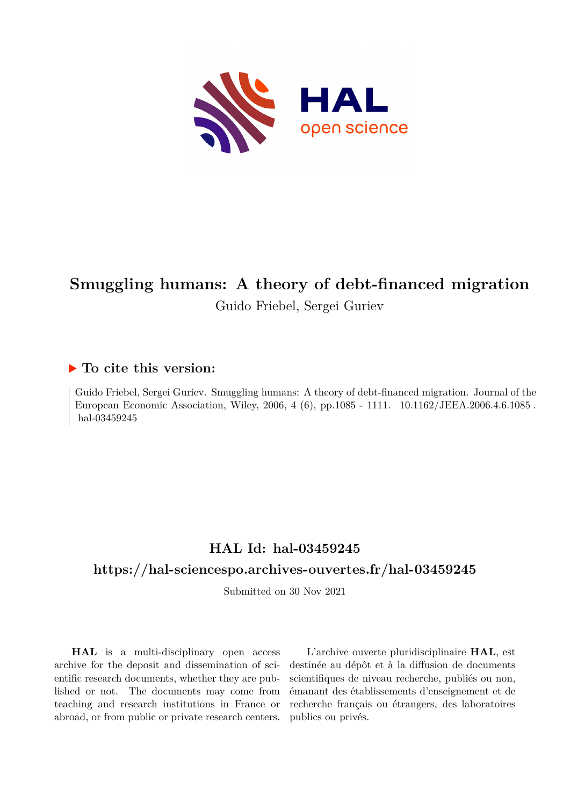

# **Smuggling humans: A theory of debt-financed migration** Guido Friebel, Sergei Guriev

# **To cite this version:**

Guido Friebel, Sergei Guriev. Smuggling humans: A theory of debt-financed migration. Journal of the European Economic Association, Wiley, 2006, 4 (6), pp.1085 - 1111. 10.1162/JEEA.2006.4.6.1085. hal-03459245

# **HAL Id: hal-03459245**

# **<https://hal-sciencespo.archives-ouvertes.fr/hal-03459245>**

Submitted on 30 Nov 2021

**HAL** is a multi-disciplinary open access archive for the deposit and dissemination of scientific research documents, whether they are published or not. The documents may come from teaching and research institutions in France or abroad, or from public or private research centers.

L'archive ouverte pluridisciplinaire **HAL**, est destinée au dépôt et à la diffusion de documents scientifiques de niveau recherche, publiés ou non, émanant des établissements d'enseignement et de recherche français ou étrangers, des laboratoires publics ou privés.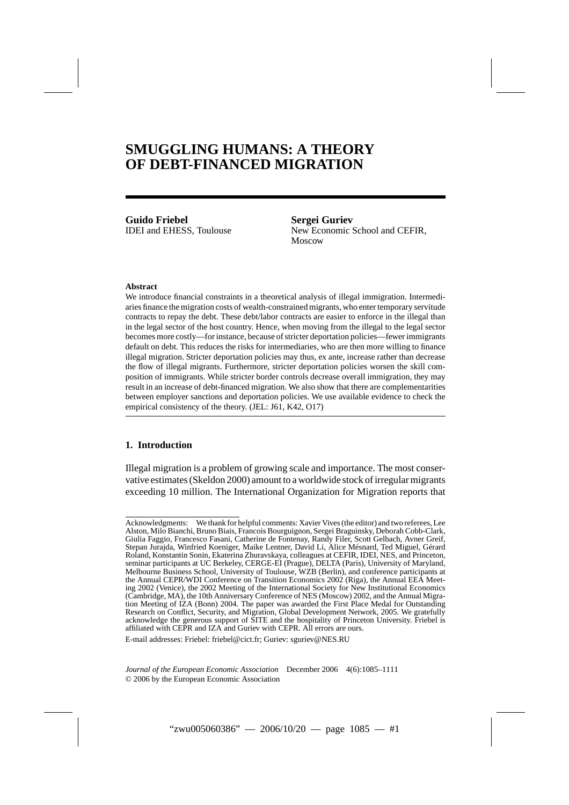# **SMUGGLING HUMANS: A THEORY OF DEBT-FINANCED MIGRATION**

**Guido Friebel** IDEI and EHESS, Toulouse **Sergei Guriev** New Economic School and CEFIR, Moscow

#### **Abstract**

We introduce financial constraints in a theoretical analysis of illegal immigration. Intermediaries finance the migration costs of wealth-constrained migrants, who enter temporary servitude contracts to repay the debt. These debt/labor contracts are easier to enforce in the illegal than in the legal sector of the host country. Hence, when moving from the illegal to the legal sector becomes more costly—for instance, because of stricter deportation policies—fewer immigrants default on debt. This reduces the risks for intermediaries, who are then more willing to finance illegal migration. Stricter deportation policies may thus, ex ante, increase rather than decrease the flow of illegal migrants. Furthermore, stricter deportation policies worsen the skill composition of immigrants. While stricter border controls decrease overall immigration, they may result in an increase of debt-financed migration. We also show that there are complementarities between employer sanctions and deportation policies. We use available evidence to check the empirical consistency of the theory. (JEL: J61, K42, O17)

#### **1. Introduction**

Illegal migration is a problem of growing scale and importance. The most conservative estimates (Skeldon 2000) amount to a worldwide stock of irregular migrants exceeding 10 million. The International Organization for Migration reports that

E-mail addresses: Friebel: friebel@cict.fr; Guriev: sguriev@NES.RU

*Journal of the European Economic Association* December 2006 4(6):1085–1111 © 2006 by the European Economic Association

"zwu005060386" — 2006/10/20 — page  $1085 - #1$ 

Acknowledgments: We thank for helpful comments: Xavier Vives (the editor) and two referees, Lee Alston, Milo Bianchi, Bruno Biais, Francois Bourguignon, Sergei Braguinsky, Deborah Cobb-Clark, Giulia Faggio, Francesco Fasani, Catherine de Fontenay, Randy Filer, Scott Gelbach, Avner Greif, Stepan Jurajda, Winfried Koeniger, Maike Lentner, David Li, Alice Mésnard, Ted Miguel, Gérard Roland, Konstantin Sonin, Ekaterina Zhuravskaya, colleagues at CEFIR, IDEI, NES, and Princeton, seminar participants at UC Berkeley, CERGE-EI (Prague), DELTA (Paris), University of Maryland, Melbourne Business School, University of Toulouse, WZB (Berlin), and conference participants at the Annual CEPR/WDI Conference on Transition Economics 2002 (Riga), the Annual EEA Meeting 2002 (Venice), the 2002 Meeting of the International Society for New Institutional Economics (Cambridge, MA), the 10th Anniversary Conference of NES (Moscow) 2002, and the Annual Migration Meeting of IZA (Bonn) 2004. The paper was awarded the First Place Medal for Outstanding Research on Conflict, Security, and Migration, Global Development Network, 2005. We gratefully acknowledge the generous support of SITE and the hospitality of Princeton University. Friebel is affiliated with CEPR and IZA and Guriev with CEPR. All errors are ours.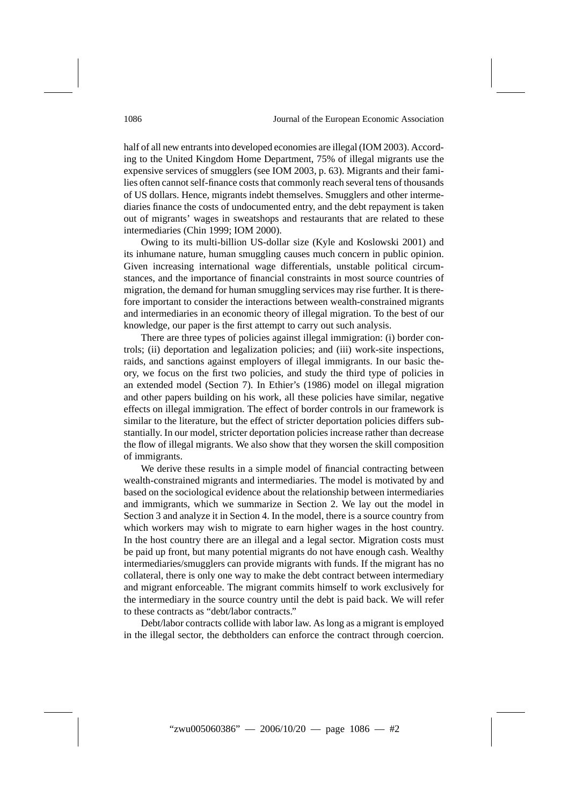#### 1086 Journal of the European Economic Association

half of all new entrants into developed economies are illegal (IOM 2003). According to the United Kingdom Home Department, 75% of illegal migrants use the expensive services of smugglers (see IOM 2003, p. 63). Migrants and their families often cannot self-finance costs that commonly reach several tens of thousands of US dollars. Hence, migrants indebt themselves. Smugglers and other intermediaries finance the costs of undocumented entry, and the debt repayment is taken out of migrants' wages in sweatshops and restaurants that are related to these intermediaries (Chin 1999; IOM 2000).

Owing to its multi-billion US-dollar size (Kyle and Koslowski 2001) and its inhumane nature, human smuggling causes much concern in public opinion. Given increasing international wage differentials, unstable political circumstances, and the importance of financial constraints in most source countries of migration, the demand for human smuggling services may rise further. It is therefore important to consider the interactions between wealth-constrained migrants and intermediaries in an economic theory of illegal migration. To the best of our knowledge, our paper is the first attempt to carry out such analysis.

There are three types of policies against illegal immigration: (i) border controls; (ii) deportation and legalization policies; and (iii) work-site inspections, raids, and sanctions against employers of illegal immigrants. In our basic theory, we focus on the first two policies, and study the third type of policies in an extended model (Section 7). In Ethier's (1986) model on illegal migration and other papers building on his work, all these policies have similar, negative effects on illegal immigration. The effect of border controls in our framework is similar to the literature, but the effect of stricter deportation policies differs substantially. In our model, stricter deportation policies increase rather than decrease the flow of illegal migrants. We also show that they worsen the skill composition of immigrants.

We derive these results in a simple model of financial contracting between wealth-constrained migrants and intermediaries. The model is motivated by and based on the sociological evidence about the relationship between intermediaries and immigrants, which we summarize in Section 2. We lay out the model in Section 3 and analyze it in Section 4. In the model, there is a source country from which workers may wish to migrate to earn higher wages in the host country. In the host country there are an illegal and a legal sector. Migration costs must be paid up front, but many potential migrants do not have enough cash. Wealthy intermediaries/smugglers can provide migrants with funds. If the migrant has no collateral, there is only one way to make the debt contract between intermediary and migrant enforceable. The migrant commits himself to work exclusively for the intermediary in the source country until the debt is paid back. We will refer to these contracts as "debt/labor contracts."

Debt/labor contracts collide with labor law. As long as a migrant is employed in the illegal sector, the debtholders can enforce the contract through coercion.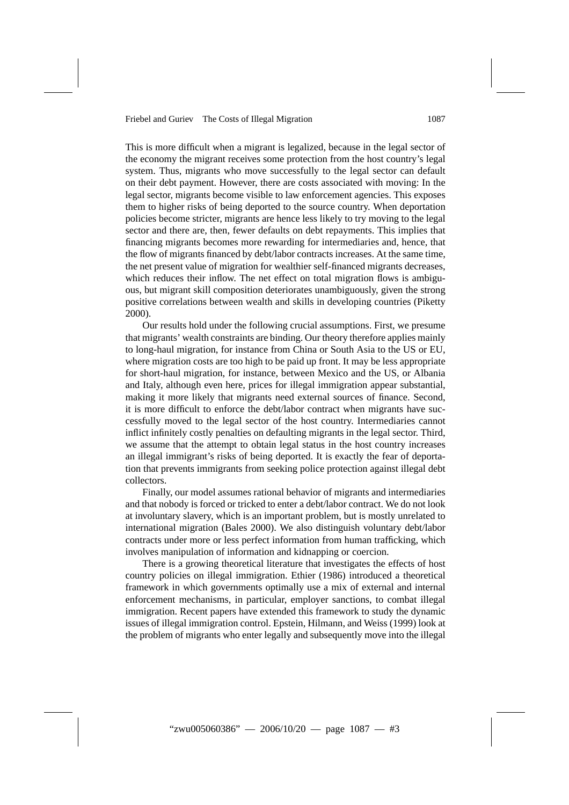This is more difficult when a migrant is legalized, because in the legal sector of the economy the migrant receives some protection from the host country's legal system. Thus, migrants who move successfully to the legal sector can default on their debt payment. However, there are costs associated with moving: In the legal sector, migrants become visible to law enforcement agencies. This exposes them to higher risks of being deported to the source country. When deportation policies become stricter, migrants are hence less likely to try moving to the legal sector and there are, then, fewer defaults on debt repayments. This implies that financing migrants becomes more rewarding for intermediaries and, hence, that the flow of migrants financed by debt/labor contracts increases. At the same time, the net present value of migration for wealthier self-financed migrants decreases, which reduces their inflow. The net effect on total migration flows is ambiguous, but migrant skill composition deteriorates unambiguously, given the strong positive correlations between wealth and skills in developing countries (Piketty 2000).

Our results hold under the following crucial assumptions. First, we presume that migrants' wealth constraints are binding. Our theory therefore applies mainly to long-haul migration, for instance from China or South Asia to the US or EU, where migration costs are too high to be paid up front. It may be less appropriate for short-haul migration, for instance, between Mexico and the US, or Albania and Italy, although even here, prices for illegal immigration appear substantial, making it more likely that migrants need external sources of finance. Second, it is more difficult to enforce the debt/labor contract when migrants have successfully moved to the legal sector of the host country. Intermediaries cannot inflict infinitely costly penalties on defaulting migrants in the legal sector. Third, we assume that the attempt to obtain legal status in the host country increases an illegal immigrant's risks of being deported. It is exactly the fear of deportation that prevents immigrants from seeking police protection against illegal debt collectors.

Finally, our model assumes rational behavior of migrants and intermediaries and that nobody is forced or tricked to enter a debt/labor contract. We do not look at involuntary slavery, which is an important problem, but is mostly unrelated to international migration (Bales 2000). We also distinguish voluntary debt/labor contracts under more or less perfect information from human trafficking, which involves manipulation of information and kidnapping or coercion.

There is a growing theoretical literature that investigates the effects of host country policies on illegal immigration. Ethier (1986) introduced a theoretical framework in which governments optimally use a mix of external and internal enforcement mechanisms, in particular, employer sanctions, to combat illegal immigration. Recent papers have extended this framework to study the dynamic issues of illegal immigration control. Epstein, Hilmann, and Weiss (1999) look at the problem of migrants who enter legally and subsequently move into the illegal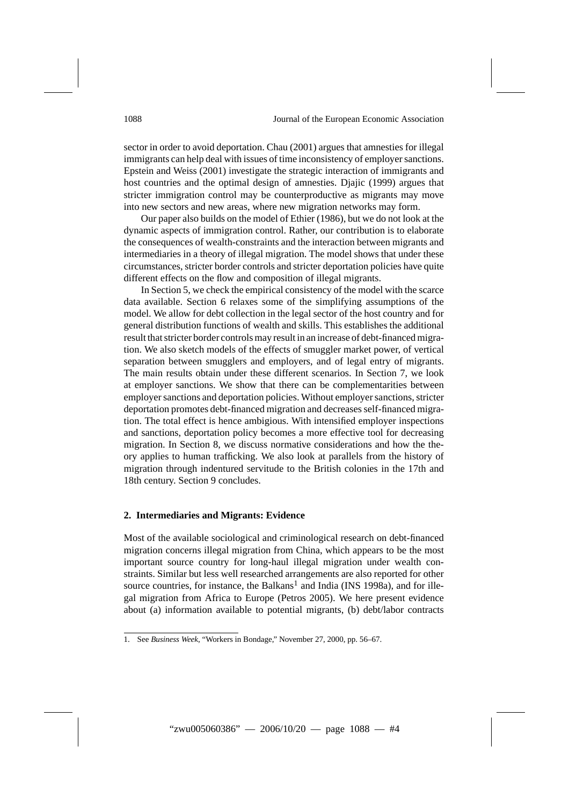sector in order to avoid deportation. Chau (2001) argues that amnesties for illegal immigrants can help deal with issues of time inconsistency of employer sanctions. Epstein and Weiss (2001) investigate the strategic interaction of immigrants and host countries and the optimal design of amnesties. Djajic (1999) argues that stricter immigration control may be counterproductive as migrants may move into new sectors and new areas, where new migration networks may form.

Our paper also builds on the model of Ethier (1986), but we do not look at the dynamic aspects of immigration control. Rather, our contribution is to elaborate the consequences of wealth-constraints and the interaction between migrants and intermediaries in a theory of illegal migration. The model shows that under these circumstances, stricter border controls and stricter deportation policies have quite different effects on the flow and composition of illegal migrants.

In Section 5, we check the empirical consistency of the model with the scarce data available. Section 6 relaxes some of the simplifying assumptions of the model. We allow for debt collection in the legal sector of the host country and for general distribution functions of wealth and skills. This establishes the additional result that stricter border controls may result in an increase of debt-financed migration. We also sketch models of the effects of smuggler market power, of vertical separation between smugglers and employers, and of legal entry of migrants. The main results obtain under these different scenarios. In Section 7, we look at employer sanctions. We show that there can be complementarities between employer sanctions and deportation policies. Without employer sanctions, stricter deportation promotes debt-financed migration and decreases self-financed migration. The total effect is hence ambigious. With intensified employer inspections and sanctions, deportation policy becomes a more effective tool for decreasing migration. In Section 8, we discuss normative considerations and how the theory applies to human trafficking. We also look at parallels from the history of migration through indentured servitude to the British colonies in the 17th and 18th century. Section 9 concludes.

#### **2. Intermediaries and Migrants: Evidence**

Most of the available sociological and criminological research on debt-financed migration concerns illegal migration from China, which appears to be the most important source country for long-haul illegal migration under wealth constraints. Similar but less well researched arrangements are also reported for other source countries, for instance, the Balkans<sup>1</sup> and India (INS 1998a), and for illegal migration from Africa to Europe (Petros 2005). We here present evidence about (a) information available to potential migrants, (b) debt/labor contracts

<sup>1.</sup> See *Business Week*, "Workers in Bondage," November 27, 2000, pp. 56–67.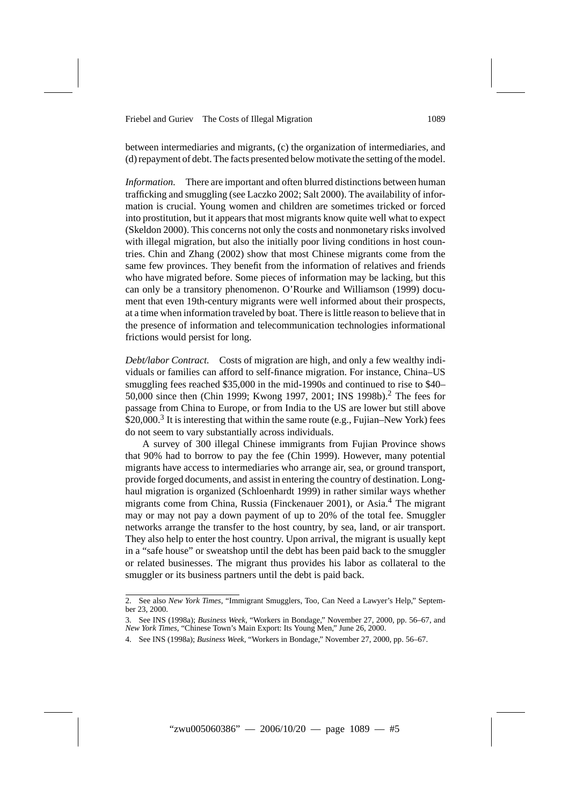between intermediaries and migrants, (c) the organization of intermediaries, and (d) repayment of debt. The facts presented below motivate the setting of the model.

*Information.* There are important and often blurred distinctions between human trafficking and smuggling (see Laczko 2002; Salt 2000). The availability of information is crucial. Young women and children are sometimes tricked or forced into prostitution, but it appears that most migrants know quite well what to expect (Skeldon 2000). This concerns not only the costs and nonmonetary risks involved with illegal migration, but also the initially poor living conditions in host countries. Chin and Zhang (2002) show that most Chinese migrants come from the same few provinces. They benefit from the information of relatives and friends who have migrated before. Some pieces of information may be lacking, but this can only be a transitory phenomenon. O'Rourke and Williamson (1999) document that even 19th-century migrants were well informed about their prospects, at a time when information traveled by boat. There is little reason to believe that in the presence of information and telecommunication technologies informational frictions would persist for long.

*Debt/labor Contract.* Costs of migration are high, and only a few wealthy individuals or families can afford to self-finance migration. For instance, China–US smuggling fees reached \$35,000 in the mid-1990s and continued to rise to \$40– 50,000 since then (Chin 1999; Kwong 1997, 2001; INS 1998b).<sup>2</sup> The fees for passage from China to Europe, or from India to the US are lower but still above  $$20,000.<sup>3</sup>$  It is interesting that within the same route (e.g., Fujian–New York) fees do not seem to vary substantially across individuals.

A survey of 300 illegal Chinese immigrants from Fujian Province shows that 90% had to borrow to pay the fee (Chin 1999). However, many potential migrants have access to intermediaries who arrange air, sea, or ground transport, provide forged documents, and assist in entering the country of destination. Longhaul migration is organized (Schloenhardt 1999) in rather similar ways whether migrants come from China, Russia (Finckenauer 2001), or Asia.<sup>4</sup> The migrant may or may not pay a down payment of up to 20% of the total fee. Smuggler networks arrange the transfer to the host country, by sea, land, or air transport. They also help to enter the host country. Upon arrival, the migrant is usually kept in a "safe house" or sweatshop until the debt has been paid back to the smuggler or related businesses. The migrant thus provides his labor as collateral to the smuggler or its business partners until the debt is paid back.

<sup>2.</sup> See also *New York Times*, "Immigrant Smugglers, Too, Can Need a Lawyer's Help," September 23, 2000.

<sup>3.</sup> See INS (1998a); *Business Week*, "Workers in Bondage," November 27, 2000, pp. 56–67, and *New York Times*, "Chinese Town's Main Export: Its Young Men," June 26, 2000.

<sup>4.</sup> See INS (1998a); *Business Week*, "Workers in Bondage," November 27, 2000, pp. 56–67.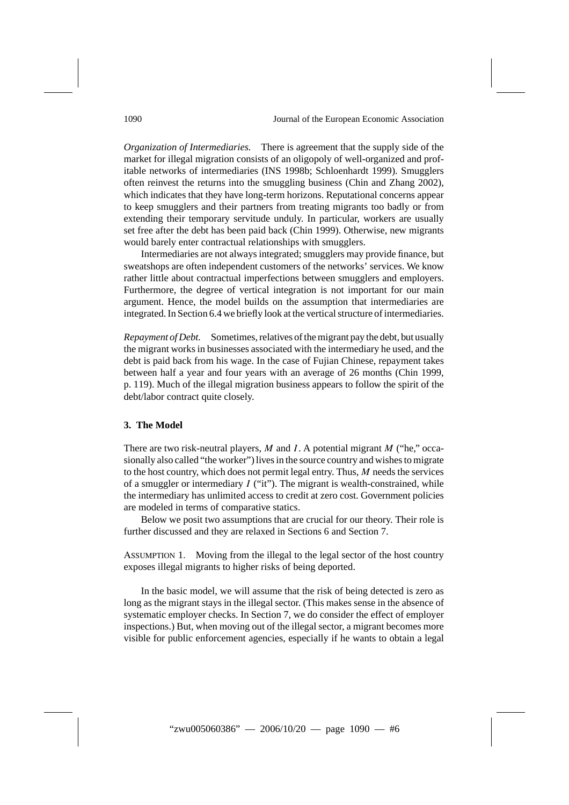## 1090 Journal of the European Economic Association

*Organization of Intermediaries.* There is agreement that the supply side of the market for illegal migration consists of an oligopoly of well-organized and profitable networks of intermediaries (INS 1998b; Schloenhardt 1999). Smugglers often reinvest the returns into the smuggling business (Chin and Zhang 2002), which indicates that they have long-term horizons. Reputational concerns appear to keep smugglers and their partners from treating migrants too badly or from extending their temporary servitude unduly. In particular, workers are usually set free after the debt has been paid back (Chin 1999). Otherwise, new migrants would barely enter contractual relationships with smugglers.

Intermediaries are not always integrated; smugglers may provide finance, but sweatshops are often independent customers of the networks' services. We know rather little about contractual imperfections between smugglers and employers. Furthermore, the degree of vertical integration is not important for our main argument. Hence, the model builds on the assumption that intermediaries are integrated. In Section 6.4 we briefly look at the vertical structure of intermediaries.

*Repayment of Debt.* Sometimes, relatives of the migrant pay the debt, but usually the migrant works in businesses associated with the intermediary he used, and the debt is paid back from his wage. In the case of Fujian Chinese, repayment takes between half a year and four years with an average of 26 months (Chin 1999, p. 119). Much of the illegal migration business appears to follow the spirit of the debt/labor contract quite closely.

# **3. The Model**

There are two risk-neutral players, *M* and *I* . A potential migrant *M* ("he," occasionally also called "the worker") lives in the source country and wishes to migrate to the host country, which does not permit legal entry. Thus, *M* needs the services of a smuggler or intermediary *I* ("it"). The migrant is wealth-constrained, while the intermediary has unlimited access to credit at zero cost. Government policies are modeled in terms of comparative statics.

Below we posit two assumptions that are crucial for our theory. Their role is further discussed and they are relaxed in Sections 6 and Section 7.

Assumption 1. Moving from the illegal to the legal sector of the host country exposes illegal migrants to higher risks of being deported.

In the basic model, we will assume that the risk of being detected is zero as long as the migrant stays in the illegal sector. (This makes sense in the absence of systematic employer checks. In Section 7, we do consider the effect of employer inspections.) But, when moving out of the illegal sector, a migrant becomes more visible for public enforcement agencies, especially if he wants to obtain a legal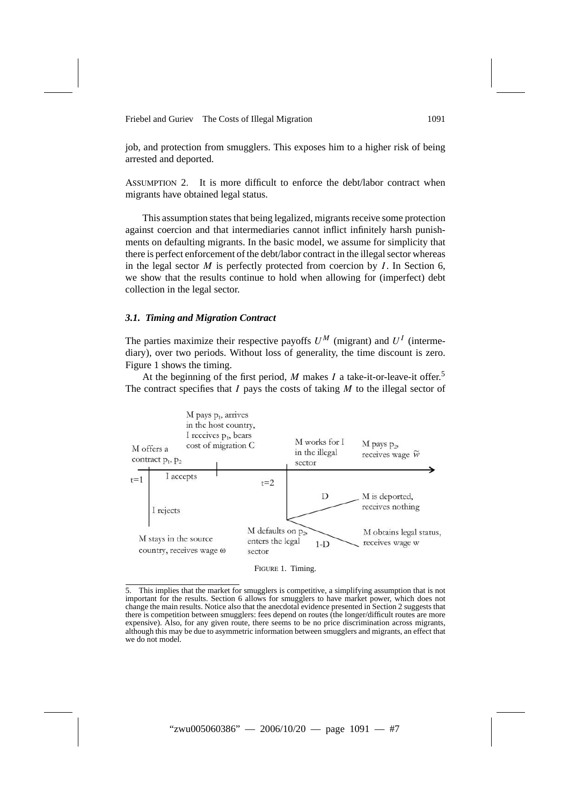job, and protection from smugglers. This exposes him to a higher risk of being arrested and deported.

ASSUMPTION 2. It is more difficult to enforce the debt/labor contract when migrants have obtained legal status.

This assumption states that being legalized, migrants receive some protection against coercion and that intermediaries cannot inflict infinitely harsh punishments on defaulting migrants. In the basic model, we assume for simplicity that there is perfect enforcement of the debt/labor contract in the illegal sector whereas in the legal sector  $M$  is perfectly protected from coercion by  $I$ . In Section 6, we show that the results continue to hold when allowing for (imperfect) debt collection in the legal sector.

# *3.1. Timing and Migration Contract*

The parties maximize their respective payoffs  $U^M$  (migrant) and  $U^I$  (intermediary), over two periods. Without loss of generality, the time discount is zero. Figure 1 shows the timing.

At the beginning of the first period, *M* makes *I* a take-it-or-leave-it offer.<sup>5</sup> The contract specifies that *I* pays the costs of taking *M* to the illegal sector of



<sup>5.</sup> This implies that the market for smugglers is competitive, a simplifying assumption that is not important for the results. Section 6 allows for smugglers to have market power, which does not change the main results. Notice also that the anecdotal evidence presented in Section 2 suggests that there is competition between smugglers: fees depend on routes (the longer/difficult routes are more expensive). Also, for any given route, there seems to be no price discrimination across migrants, although this may be due to asymmetric information between smugglers and migrants, an effect that we do not model.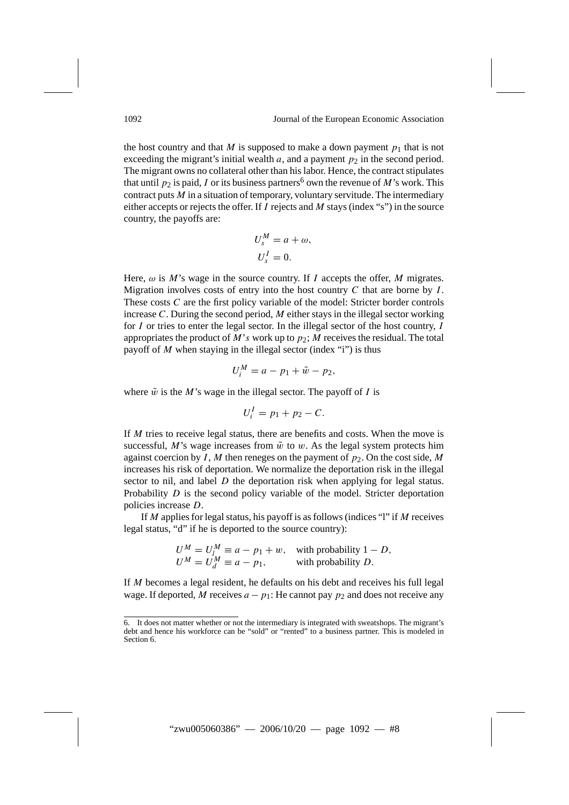the host country and that *M* is supposed to make a down payment  $p_1$  that is not exceeding the migrant's initial wealth  $a$ , and a payment  $p_2$  in the second period. The migrant owns no collateral other than his labor. Hence, the contract stipulates that until  $p_2$  is paid, *I* or its business partners<sup>6</sup> own the revenue of *M*'s work. This contract puts *M* in a situation of temporary, voluntary servitude. The intermediary either accepts or rejects the offer. If *I* rejects and *M* stays (index "s") in the source country, the payoffs are:

$$
U_s^M = a + \omega,
$$
  

$$
U_s^I = 0.
$$

Here,  $\omega$  is *M*'s wage in the source country. If *I* accepts the offer, *M* migrates. Migration involves costs of entry into the host country *C* that are borne by *I* . These costs *C* are the first policy variable of the model: Stricter border controls increase *C*. During the second period, *M* either stays in the illegal sector working for *I* or tries to enter the legal sector. In the illegal sector of the host country, *I* appropriates the product of *M*'s work up to  $p_2$ ; *M* receives the residual. The total payoff of *M* when staying in the illegal sector (index "i") is thus

$$
U_i^M = a - p_1 + \tilde{w} - p_2,
$$

where  $\tilde{w}$  is the *M*'s wage in the illegal sector. The payoff of *I* is

$$
U_i^I = p_1 + p_2 - C.
$$

If *M* tries to receive legal status, there are benefits and costs. When the move is successful, *M*'s wage increases from  $\tilde{w}$  to *w*. As the legal system protects him against coercion by *I* , *M* then reneges on the payment of *p*2. On the cost side, *M* increases his risk of deportation. We normalize the deportation risk in the illegal sector to nil, and label *D* the deportation risk when applying for legal status. Probability *D* is the second policy variable of the model. Stricter deportation policies increase *D*.

If *M* applies for legal status, his payoff is as follows (indices "l" if *M* receives legal status, "d" if he is deported to the source country):

$$
U^M = U_l^M \equiv a - p_1 + w,
$$
 with probability  $1 - D$ ,  
\n
$$
U^M = U_d^M \equiv a - p_1,
$$
 with probability *D*.

If *M* becomes a legal resident, he defaults on his debt and receives his full legal wage. If deported, *M* receives  $a - p_1$ : He cannot pay  $p_2$  and does not receive any

<sup>6.</sup> It does not matter whether or not the intermediary is integrated with sweatshops. The migrant's debt and hence his workforce can be "sold" or "rented" to a business partner. This is modeled in Section 6.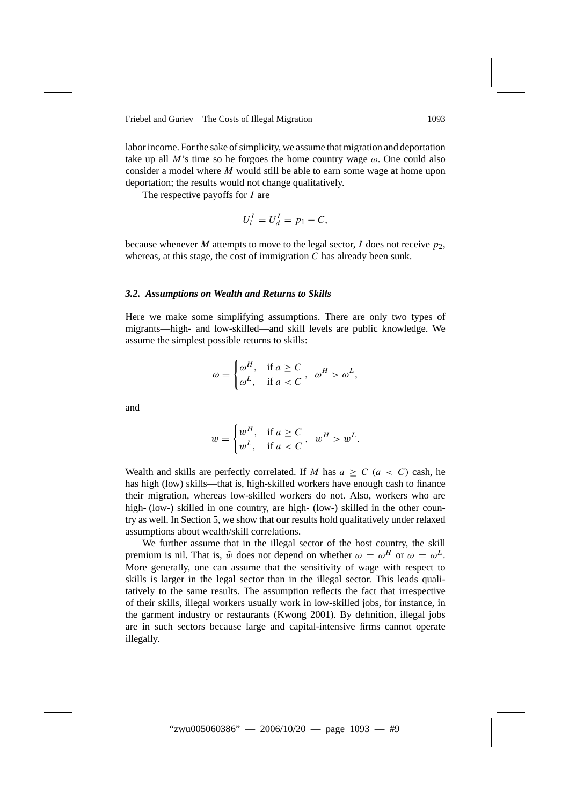labor income. For the sake of simplicity, we assume that migration and deportation take up all *M*'s time so he forgoes the home country wage  $\omega$ . One could also consider a model where *M* would still be able to earn some wage at home upon deportation; the results would not change qualitatively.

The respective payoffs for *I* are

$$
U_l^I = U_d^I = p_1 - C,
$$

because whenever *M* attempts to move to the legal sector, *I* does not receive  $p_2$ , whereas, at this stage, the cost of immigration *C* has already been sunk.

# *3.2. Assumptions on Wealth and Returns to Skills*

Here we make some simplifying assumptions. There are only two types of migrants—high- and low-skilled—and skill levels are public knowledge. We assume the simplest possible returns to skills:

$$
\omega = \begin{cases} \omega^H, & \text{if } a \ge C \\ \omega^L, & \text{if } a < C \end{cases}, \quad \omega^H > \omega^L,
$$

and

$$
w = \begin{cases} w^H, & \text{if } a \ge C \\ w^L, & \text{if } a < C \end{cases}, \quad w^H > w^L.
$$

Wealth and skills are perfectly correlated. If *M* has  $a > C$  ( $a < C$ ) cash, he has high (low) skills—that is, high-skilled workers have enough cash to finance their migration, whereas low-skilled workers do not. Also, workers who are high- (low-) skilled in one country, are high- (low-) skilled in the other country as well. In Section 5, we show that our results hold qualitatively under relaxed assumptions about wealth/skill correlations.

We further assume that in the illegal sector of the host country, the skill premium is nil. That is,  $\tilde{w}$  does not depend on whether  $\omega = \omega^H$  or  $\omega = \omega^L$ . More generally, one can assume that the sensitivity of wage with respect to skills is larger in the legal sector than in the illegal sector. This leads qualitatively to the same results. The assumption reflects the fact that irrespective of their skills, illegal workers usually work in low-skilled jobs, for instance, in the garment industry or restaurants (Kwong 2001). By definition, illegal jobs are in such sectors because large and capital-intensive firms cannot operate illegally.

"zwu005060386" — 2006/10/20 — page  $1093 - 49$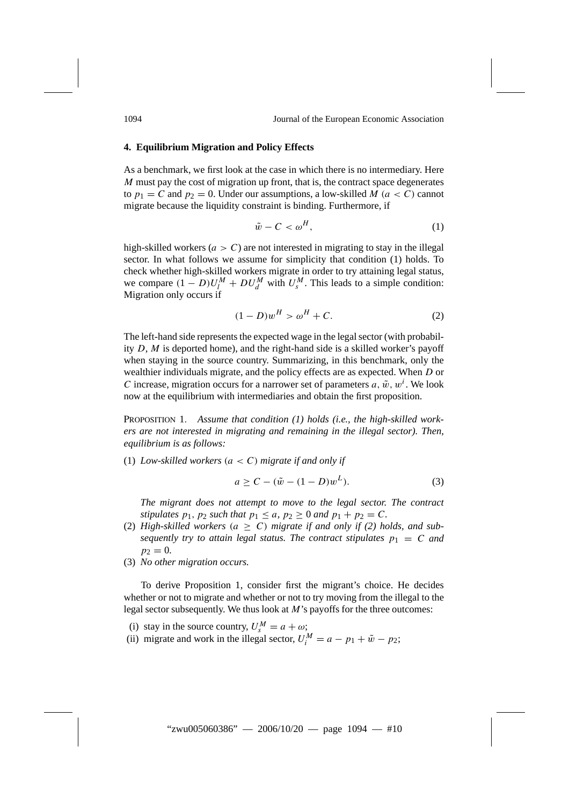#### **4. Equilibrium Migration and Policy Effects**

As a benchmark, we first look at the case in which there is no intermediary. Here *M* must pay the cost of migration up front, that is, the contract space degenerates to  $p_1 = C$  and  $p_2 = 0$ . Under our assumptions, a low-skilled *M* ( $a < C$ ) cannot migrate because the liquidity constraint is binding. Furthermore, if

$$
\tilde{w} - C < \omega^H,\tag{1}
$$

high-skilled workers  $(a > C)$  are not interested in migrating to stay in the illegal sector. In what follows we assume for simplicity that condition (1) holds. To check whether high-skilled workers migrate in order to try attaining legal status, we compare  $(1 - D)U_l^M + DU_d^M$  with  $U_s^M$ . This leads to a simple condition: Migration only occurs if

$$
(1 - D)w^H > \omega^H + C. \tag{2}
$$

The left-hand side represents the expected wage in the legal sector (with probability *D*, *M* is deported home), and the right-hand side is a skilled worker's payoff when staying in the source country. Summarizing, in this benchmark, only the wealthier individuals migrate, and the policy effects are as expected. When *D* or *C* increase, migration occurs for a narrower set of parameters  $a, \tilde{w}, w^i$ . We look now at the equilibrium with intermediaries and obtain the first proposition.

PROPOSITION 1. Assume that condition (1) holds (i.e., the high-skilled work*ers are not interested in migrating and remaining in the illegal sector). Then, equilibrium is as follows:*

(1) *Low-skilled workers (a < C) migrate if and only if*

$$
a \ge C - (\tilde{w} - (1 - D)w^L). \tag{3}
$$

*The migrant does not attempt to move to the legal sector. The contract stipulates*  $p_1$ ,  $p_2$  *such that*  $p_1 \le a$ ,  $p_2 \ge 0$  *and*  $p_1 + p_2 = C$ *.* 

- (2) *High-skilled workers* ( $a \ge C$ ) *migrate if and only if (2) holds, and subsequently try to attain legal status. The contract stipulates*  $p_1 = C$  *and*  $p_2 = 0$ .
- (3) *No other migration occurs.*

To derive Proposition 1, consider first the migrant's choice. He decides whether or not to migrate and whether or not to try moving from the illegal to the legal sector subsequently. We thus look at *M*'s payoffs for the three outcomes:

- (i) stay in the source country,  $U_s^M = a + \omega$ ;
- (ii) migrate and work in the illegal sector,  $U_i^M = a p_1 + \tilde{w} p_2$ ;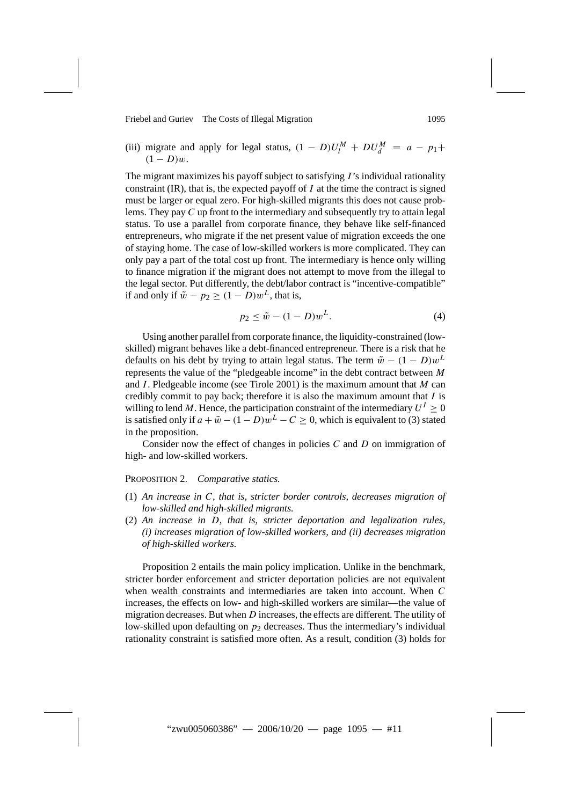(iii) migrate and apply for legal status,  $(1 - D)U_l^M + DU_d^M = a - p_1 +$  $(1 - D)w$ .

The migrant maximizes his payoff subject to satisfying *I* 's individual rationality constraint (IR), that is, the expected payoff of *I* at the time the contract is signed must be larger or equal zero. For high-skilled migrants this does not cause problems. They pay *C* up front to the intermediary and subsequently try to attain legal status. To use a parallel from corporate finance, they behave like self-financed entrepreneurs, who migrate if the net present value of migration exceeds the one of staying home. The case of low-skilled workers is more complicated. They can only pay a part of the total cost up front. The intermediary is hence only willing to finance migration if the migrant does not attempt to move from the illegal to the legal sector. Put differently, the debt/labor contract is "incentive-compatible" if and only if  $\tilde{w} - p_2 \ge (1 - D)w^L$ , that is,

$$
p_2 \le \tilde{w} - (1 - D)w^L. \tag{4}
$$

Using another parallel from corporate finance, the liquidity-constrained (lowskilled) migrant behaves like a debt-financed entrepreneur. There is a risk that he defaults on his debt by trying to attain legal status. The term  $\tilde{w} - (1 - D)w^L$ represents the value of the "pledgeable income" in the debt contract between *M* and *I* . Pledgeable income (see Tirole 2001) is the maximum amount that *M* can credibly commit to pay back; therefore it is also the maximum amount that *I* is willing to lend *M*. Hence, the participation constraint of the intermediary  $U^I \geq 0$ is satisfied only if  $a + \tilde{w} - (1 - D)w^L - C \ge 0$ , which is equivalent to (3) stated in the proposition.

Consider now the effect of changes in policies *C* and *D* on immigration of high- and low-skilled workers.

Proposition 2. *Comparative statics.*

- (1) *An increase in C, that is, stricter border controls, decreases migration of low-skilled and high-skilled migrants.*
- (2) *An increase in D, that is, stricter deportation and legalization rules, (i) increases migration of low-skilled workers, and (ii) decreases migration of high-skilled workers.*

Proposition 2 entails the main policy implication. Unlike in the benchmark, stricter border enforcement and stricter deportation policies are not equivalent when wealth constraints and intermediaries are taken into account. When *C* increases, the effects on low- and high-skilled workers are similar—the value of migration decreases. But when *D* increases, the effects are different. The utility of low-skilled upon defaulting on  $p_2$  decreases. Thus the intermediary's individual rationality constraint is satisfied more often. As a result, condition (3) holds for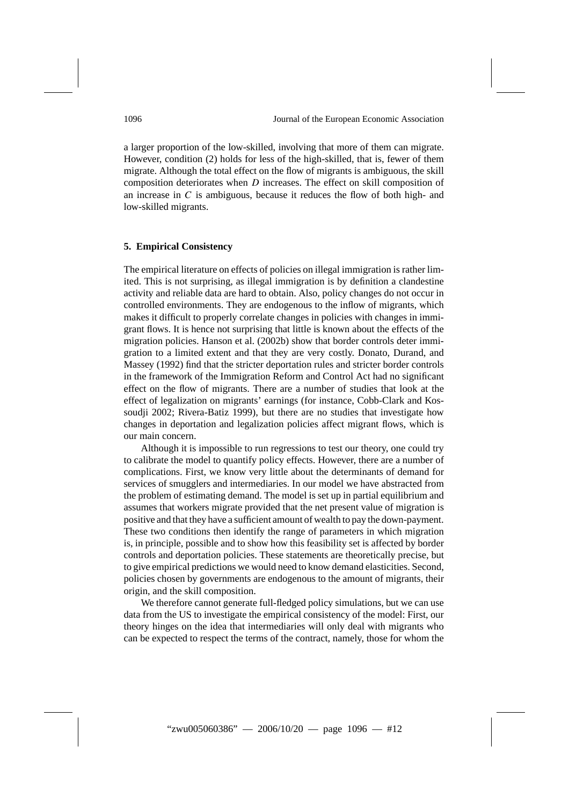a larger proportion of the low-skilled, involving that more of them can migrate. However, condition (2) holds for less of the high-skilled, that is, fewer of them migrate. Although the total effect on the flow of migrants is ambiguous, the skill composition deteriorates when *D* increases. The effect on skill composition of an increase in *C* is ambiguous, because it reduces the flow of both high- and low-skilled migrants.

# **5. Empirical Consistency**

The empirical literature on effects of policies on illegal immigration is rather limited. This is not surprising, as illegal immigration is by definition a clandestine activity and reliable data are hard to obtain. Also, policy changes do not occur in controlled environments. They are endogenous to the inflow of migrants, which makes it difficult to properly correlate changes in policies with changes in immigrant flows. It is hence not surprising that little is known about the effects of the migration policies. Hanson et al. (2002b) show that border controls deter immigration to a limited extent and that they are very costly. Donato, Durand, and Massey (1992) find that the stricter deportation rules and stricter border controls in the framework of the Immigration Reform and Control Act had no significant effect on the flow of migrants. There are a number of studies that look at the effect of legalization on migrants' earnings (for instance, Cobb-Clark and Kossoudji 2002; Rivera-Batiz 1999), but there are no studies that investigate how changes in deportation and legalization policies affect migrant flows, which is our main concern.

Although it is impossible to run regressions to test our theory, one could try to calibrate the model to quantify policy effects. However, there are a number of complications. First, we know very little about the determinants of demand for services of smugglers and intermediaries. In our model we have abstracted from the problem of estimating demand. The model is set up in partial equilibrium and assumes that workers migrate provided that the net present value of migration is positive and that they have a sufficient amount of wealth to pay the down-payment. These two conditions then identify the range of parameters in which migration is, in principle, possible and to show how this feasibility set is affected by border controls and deportation policies. These statements are theoretically precise, but to give empirical predictions we would need to know demand elasticities. Second, policies chosen by governments are endogenous to the amount of migrants, their origin, and the skill composition.

We therefore cannot generate full-fledged policy simulations, but we can use data from the US to investigate the empirical consistency of the model: First, our theory hinges on the idea that intermediaries will only deal with migrants who can be expected to respect the terms of the contract, namely, those for whom the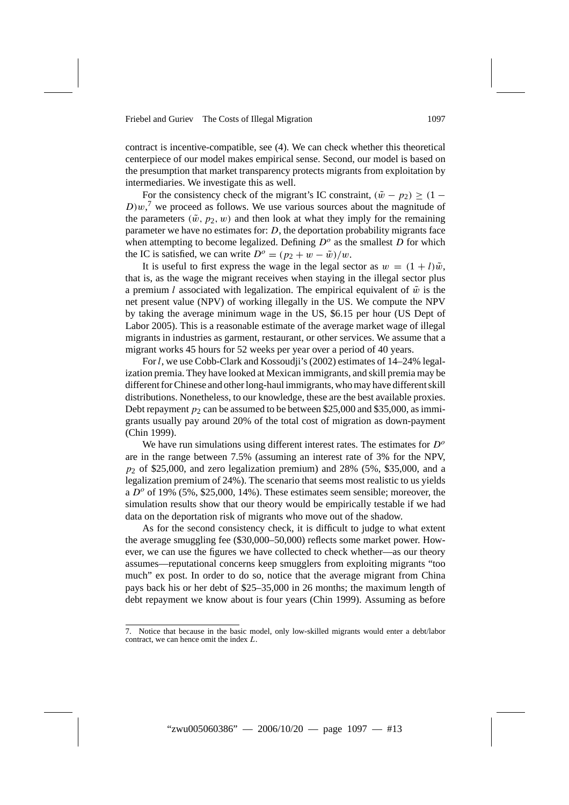contract is incentive-compatible, see (4). We can check whether this theoretical centerpiece of our model makes empirical sense. Second, our model is based on the presumption that market transparency protects migrants from exploitation by intermediaries. We investigate this as well.

For the consistency check of the migrant's IC constraint,  $(\tilde{w} - p_2) \geq (1 D)w^7$  we proceed as follows. We use various sources about the magnitude of the parameters  $(\tilde{w}, p_2, w)$  and then look at what they imply for the remaining parameter we have no estimates for: *D*, the deportation probability migrants face when attempting to become legalized. Defining  $D<sup>o</sup>$  as the smallest *D* for which the IC is satisfied, we can write  $D^{\circ} = (p_2 + w - \tilde{w})/w$ .

It is useful to first express the wage in the legal sector as  $w = (1 + l)\tilde{w}$ , that is, as the wage the migrant receives when staying in the illegal sector plus a premium *l* associated with legalization. The empirical equivalent of  $\tilde{w}$  is the net present value (NPV) of working illegally in the US. We compute the NPV by taking the average minimum wage in the US, \$6.15 per hour (US Dept of Labor 2005). This is a reasonable estimate of the average market wage of illegal migrants in industries as garment, restaurant, or other services. We assume that a migrant works 45 hours for 52 weeks per year over a period of 40 years.

For *l*, we use Cobb-Clark and Kossoudji's (2002) estimates of 14–24% legalization premia. They have looked at Mexican immigrants, and skill premia may be different for Chinese and other long-haul immigrants, who may have different skill distributions. Nonetheless, to our knowledge, these are the best available proxies. Debt repayment  $p_2$  can be assumed to be between \$25,000 and \$35,000, as immigrants usually pay around 20% of the total cost of migration as down-payment (Chin 1999).

We have run simulations using different interest rates. The estimates for *D<sup>o</sup>* are in the range between 7.5% (assuming an interest rate of 3% for the NPV, *p*<sup>2</sup> of \$25,000, and zero legalization premium) and 28% (5%, \$35,000, and a legalization premium of 24%). The scenario that seems most realistic to us yields a *D<sup>o</sup>* of 19% (5%, \$25,000, 14%). These estimates seem sensible; moreover, the simulation results show that our theory would be empirically testable if we had data on the deportation risk of migrants who move out of the shadow.

As for the second consistency check, it is difficult to judge to what extent the average smuggling fee (\$30,000–50,000) reflects some market power. However, we can use the figures we have collected to check whether—as our theory assumes—reputational concerns keep smugglers from exploiting migrants "too much" ex post. In order to do so, notice that the average migrant from China pays back his or her debt of \$25–35,000 in 26 months; the maximum length of debt repayment we know about is four years (Chin 1999). Assuming as before

<sup>7.</sup> Notice that because in the basic model, only low-skilled migrants would enter a debt/labor contract, we can hence omit the index *L*.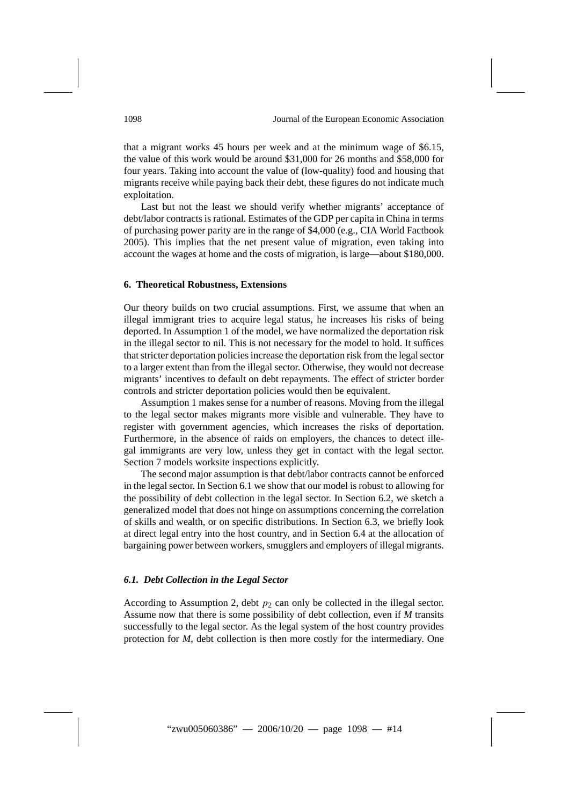1098 Journal of the European Economic Association

that a migrant works 45 hours per week and at the minimum wage of \$6.15, the value of this work would be around \$31,000 for 26 months and \$58,000 for four years. Taking into account the value of (low-quality) food and housing that migrants receive while paying back their debt, these figures do not indicate much exploitation.

Last but not the least we should verify whether migrants' acceptance of debt/labor contracts is rational. Estimates of the GDP per capita in China in terms of purchasing power parity are in the range of \$4,000 (e.g., CIA World Factbook 2005). This implies that the net present value of migration, even taking into account the wages at home and the costs of migration, is large—about \$180,000.

# **6. Theoretical Robustness, Extensions**

Our theory builds on two crucial assumptions. First, we assume that when an illegal immigrant tries to acquire legal status, he increases his risks of being deported. In Assumption 1 of the model, we have normalized the deportation risk in the illegal sector to nil. This is not necessary for the model to hold. It suffices that stricter deportation policies increase the deportation risk from the legal sector to a larger extent than from the illegal sector. Otherwise, they would not decrease migrants' incentives to default on debt repayments. The effect of stricter border controls and stricter deportation policies would then be equivalent.

Assumption 1 makes sense for a number of reasons. Moving from the illegal to the legal sector makes migrants more visible and vulnerable. They have to register with government agencies, which increases the risks of deportation. Furthermore, in the absence of raids on employers, the chances to detect illegal immigrants are very low, unless they get in contact with the legal sector. Section 7 models worksite inspections explicitly.

The second major assumption is that debt/labor contracts cannot be enforced in the legal sector. In Section 6.1 we show that our model is robust to allowing for the possibility of debt collection in the legal sector. In Section 6.2, we sketch a generalized model that does not hinge on assumptions concerning the correlation of skills and wealth, or on specific distributions. In Section 6.3, we briefly look at direct legal entry into the host country, and in Section 6.4 at the allocation of bargaining power between workers, smugglers and employers of illegal migrants.

#### *6.1. Debt Collection in the Legal Sector*

According to Assumption 2, debt  $p_2$  can only be collected in the illegal sector. Assume now that there is some possibility of debt collection, even if *M* transits successfully to the legal sector. As the legal system of the host country provides protection for *M*, debt collection is then more costly for the intermediary. One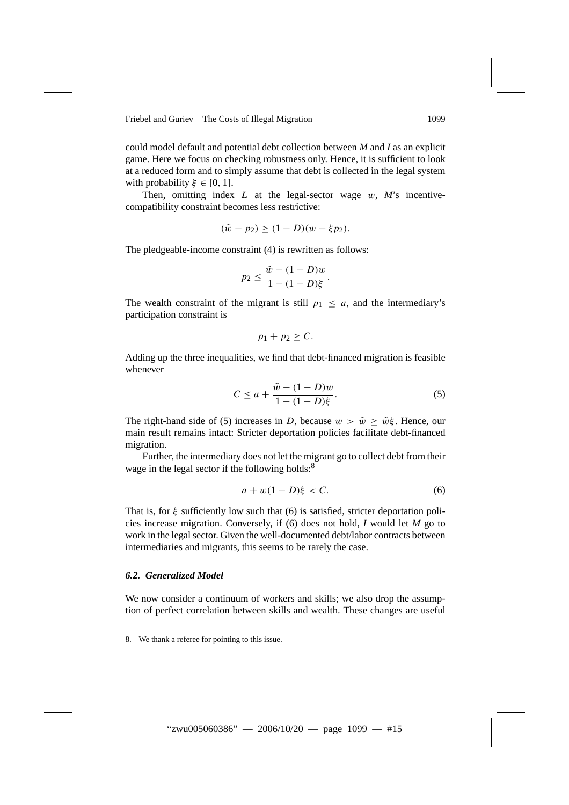could model default and potential debt collection between *M* and *I* as an explicit game. Here we focus on checking robustness only. Hence, it is sufficient to look at a reduced form and to simply assume that debt is collected in the legal system with probability *ξ* ∈ [0*,* 1].

Then, omitting index *L* at the legal-sector wage *w*, *M*'s incentivecompatibility constraint becomes less restrictive:

$$
(\tilde{w} - p_2) \ge (1 - D)(w - \xi p_2).
$$

The pledgeable-income constraint (4) is rewritten as follows:

$$
p_2 \le \frac{\tilde{w} - (1 - D)w}{1 - (1 - D)\xi}.
$$

The wealth constraint of the migrant is still  $p_1 \le a$ , and the intermediary's participation constraint is

$$
p_1+p_2\geq C.
$$

Adding up the three inequalities, we find that debt-financed migration is feasible whenever

$$
C \le a + \frac{\tilde{w} - (1 - D)w}{1 - (1 - D)\xi}.
$$
\n(5)

The right-hand side of (5) increases in *D*, because  $w > \tilde{w} > \tilde{w}\xi$ . Hence, our main result remains intact: Stricter deportation policies facilitate debt-financed migration.

Further, the intermediary does not let the migrant go to collect debt from their wage in the legal sector if the following holds: $8$ 

$$
a + w(1 - D)\xi < C. \tag{6}
$$

That is, for *ξ* sufficiently low such that (6) is satisfied, stricter deportation policies increase migration. Conversely, if (6) does not hold, *I* would let *M* go to work in the legal sector. Given the well-documented debt/labor contracts between intermediaries and migrants, this seems to be rarely the case.

# *6.2. Generalized Model*

We now consider a continuum of workers and skills; we also drop the assumption of perfect correlation between skills and wealth. These changes are useful

<sup>8.</sup> We thank a referee for pointing to this issue.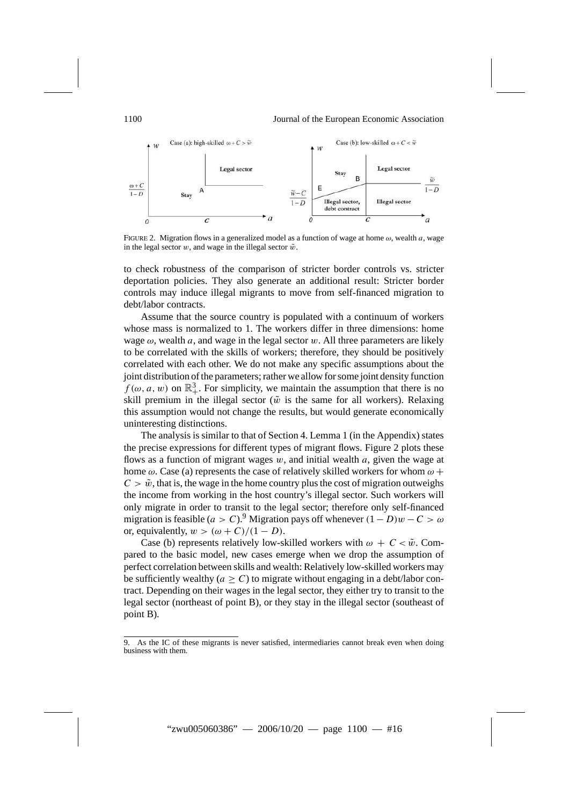## 1100 Journal of the European Economic Association



FIGURE 2. Migration flows in a generalized model as a function of wage at home  $\omega$ , wealth *a*, wage in the legal sector  $w$ , and wage in the illegal sector  $\tilde{w}$ .

to check robustness of the comparison of stricter border controls vs. stricter deportation policies. They also generate an additional result: Stricter border controls may induce illegal migrants to move from self-financed migration to debt/labor contracts.

Assume that the source country is populated with a continuum of workers whose mass is normalized to 1. The workers differ in three dimensions: home wage  $\omega$ , wealth  $a$ , and wage in the legal sector  $w$ . All three parameters are likely to be correlated with the skills of workers; therefore, they should be positively correlated with each other. We do not make any specific assumptions about the joint distribution of the parameters; rather we allow for some joint density function  $f(\omega, a, w)$  on  $\mathbb{R}^3_+$ . For simplicity, we maintain the assumption that there is no skill premium in the illegal sector ( $\tilde{w}$  is the same for all workers). Relaxing this assumption would not change the results, but would generate economically uninteresting distinctions.

The analysis is similar to that of Section 4. Lemma 1 (in the Appendix) states the precise expressions for different types of migrant flows. Figure 2 plots these flows as a function of migrant wages *w*, and initial wealth *a*, given the wage at home  $\omega$ . Case (a) represents the case of relatively skilled workers for whom  $\omega$  +  $C > \tilde{w}$ , that is, the wage in the home country plus the cost of migration outweighs the income from working in the host country's illegal sector. Such workers will only migrate in order to transit to the legal sector; therefore only self-financed migration is feasible ( $a > C$ ).<sup>9</sup> Migration pays off whenever  $(1 - D)w - C > \omega$ or, equivalently,  $w > (\omega + C)/(1 - D)$ .

Case (b) represents relatively low-skilled workers with  $\omega + C < \tilde{w}$ . Compared to the basic model, new cases emerge when we drop the assumption of perfect correlation between skills and wealth: Relatively low-skilled workers may be sufficiently wealthy ( $a \ge C$ ) to migrate without engaging in a debt/labor contract. Depending on their wages in the legal sector, they either try to transit to the legal sector (northeast of point B), or they stay in the illegal sector (southeast of point B).

<sup>9.</sup> As the IC of these migrants is never satisfied, intermediaries cannot break even when doing business with them.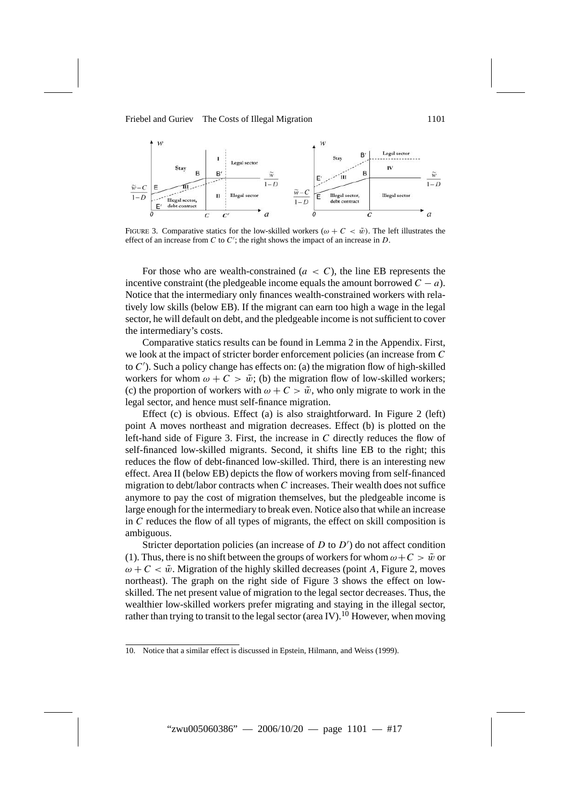

FIGURE 3. Comparative statics for the low-skilled workers ( $\omega + C < \tilde{w}$ ). The left illustrates the effect of an increase from *C* to *C* ; the right shows the impact of an increase in *D*.

For those who are wealth-constrained  $(a < C)$ , the line EB represents the incentive constraint (the pledgeable income equals the amount borrowed  $C - a$ ). Notice that the intermediary only finances wealth-constrained workers with relatively low skills (below EB). If the migrant can earn too high a wage in the legal sector, he will default on debt, and the pledgeable income is not sufficient to cover the intermediary's costs.

Comparative statics results can be found in Lemma 2 in the Appendix. First, we look at the impact of stricter border enforcement policies (an increase from *C* to *C* ). Such a policy change has effects on: (a) the migration flow of high-skilled workers for whom  $\omega + C > \tilde{w}$ ; (b) the migration flow of low-skilled workers; (c) the proportion of workers with  $\omega + C > \tilde{w}$ , who only migrate to work in the legal sector, and hence must self-finance migration.

Effect (c) is obvious. Effect (a) is also straightforward. In Figure 2 (left) point A moves northeast and migration decreases. Effect (b) is plotted on the left-hand side of Figure 3. First, the increase in *C* directly reduces the flow of self-financed low-skilled migrants. Second, it shifts line EB to the right; this reduces the flow of debt-financed low-skilled. Third, there is an interesting new effect. Area II (below EB) depicts the flow of workers moving from self-financed migration to debt/labor contracts when *C* increases. Their wealth does not suffice anymore to pay the cost of migration themselves, but the pledgeable income is large enough for the intermediary to break even. Notice also that while an increase in *C* reduces the flow of all types of migrants, the effect on skill composition is ambiguous.

Stricter deportation policies (an increase of *D* to *D'*) do not affect condition (1). Thus, there is no shift between the groups of workers for whom  $\omega + C > \tilde{w}$  or  $\omega + C < \tilde{\omega}$ . Migration of the highly skilled decreases (point *A*, Figure 2, moves northeast). The graph on the right side of Figure 3 shows the effect on lowskilled. The net present value of migration to the legal sector decreases. Thus, the wealthier low-skilled workers prefer migrating and staying in the illegal sector, rather than trying to transit to the legal sector (area IV).<sup>10</sup> However, when moving

<sup>10.</sup> Notice that a similar effect is discussed in Epstein, Hilmann, and Weiss (1999).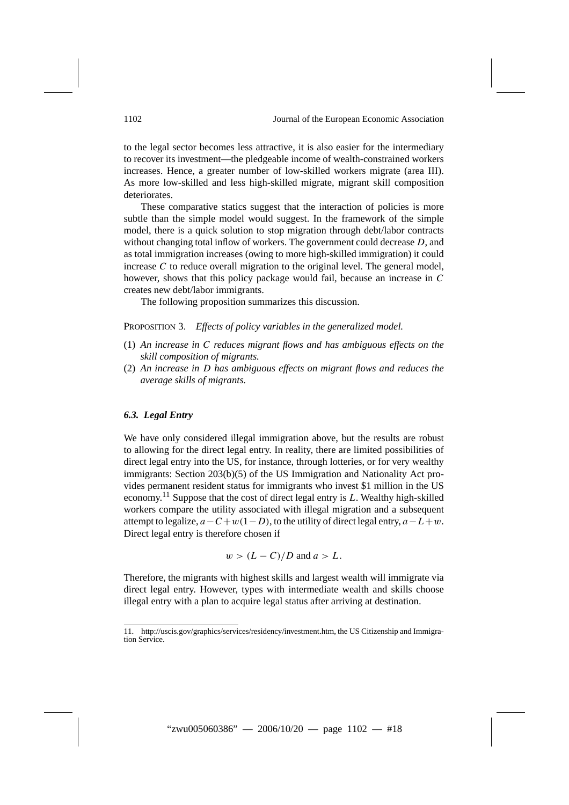to the legal sector becomes less attractive, it is also easier for the intermediary to recover its investment—the pledgeable income of wealth-constrained workers increases. Hence, a greater number of low-skilled workers migrate (area III). As more low-skilled and less high-skilled migrate, migrant skill composition deteriorates.

These comparative statics suggest that the interaction of policies is more subtle than the simple model would suggest. In the framework of the simple model, there is a quick solution to stop migration through debt/labor contracts without changing total inflow of workers. The government could decrease *D*, and as total immigration increases (owing to more high-skilled immigration) it could increase *C* to reduce overall migration to the original level. The general model, however, shows that this policy package would fail, because an increase in *C* creates new debt/labor immigrants.

The following proposition summarizes this discussion.

Proposition 3. *Effects of policy variables in the generalized model.*

- (1) *An increase in C reduces migrant flows and has ambiguous effects on the skill composition of migrants.*
- (2) *An increase in D has ambiguous effects on migrant flows and reduces the average skills of migrants.*

### *6.3. Legal Entry*

We have only considered illegal immigration above, but the results are robust to allowing for the direct legal entry. In reality, there are limited possibilities of direct legal entry into the US, for instance, through lotteries, or for very wealthy immigrants: Section 203(b)(5) of the US Immigration and Nationality Act provides permanent resident status for immigrants who invest \$1 million in the US economy.<sup>11</sup> Suppose that the cost of direct legal entry is *L*. Wealthy high-skilled workers compare the utility associated with illegal migration and a subsequent attempt to legalize,  $a - C + w(1 - D)$ , to the utility of direct legal entry,  $a - L + w$ . Direct legal entry is therefore chosen if

$$
w > (L - C)/D
$$
 and  $a > L$ .

Therefore, the migrants with highest skills and largest wealth will immigrate via direct legal entry. However, types with intermediate wealth and skills choose illegal entry with a plan to acquire legal status after arriving at destination.

<sup>11.</sup> http://uscis.gov/graphics/services/residency/investment.htm, the US Citizenship and Immigration Service.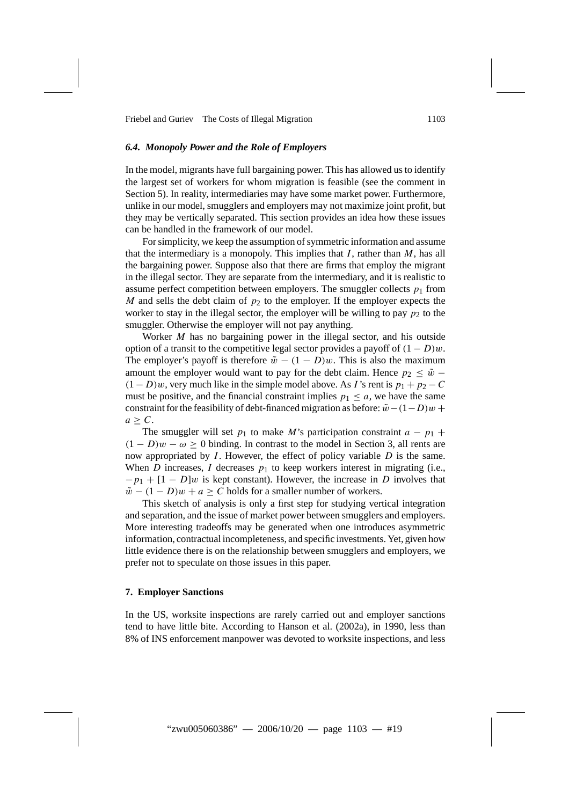#### *6.4. Monopoly Power and the Role of Employers*

In the model, migrants have full bargaining power. This has allowed us to identify the largest set of workers for whom migration is feasible (see the comment in Section 5). In reality, intermediaries may have some market power. Furthermore, unlike in our model, smugglers and employers may not maximize joint profit, but they may be vertically separated. This section provides an idea how these issues can be handled in the framework of our model.

For simplicity, we keep the assumption of symmetric information and assume that the intermediary is a monopoly. This implies that *I* , rather than *M*, has all the bargaining power. Suppose also that there are firms that employ the migrant in the illegal sector. They are separate from the intermediary, and it is realistic to assume perfect competition between employers. The smuggler collects  $p_1$  from *M* and sells the debt claim of  $p_2$  to the employer. If the employer expects the worker to stay in the illegal sector, the employer will be willing to pay  $p_2$  to the smuggler. Otherwise the employer will not pay anything.

Worker *M* has no bargaining power in the illegal sector, and his outside option of a transit to the competitive legal sector provides a payoff of  $(1 - D)w$ . The employer's payoff is therefore  $\tilde{w} - (1 - D)w$ . This is also the maximum amount the employer would want to pay for the debt claim. Hence  $p_2 \leq \tilde{w}$  −  $(1 - D)w$ , very much like in the simple model above. As *I*'s rent is  $p_1 + p_2 - C$ must be positive, and the financial constraint implies  $p_1 \le a$ , we have the same constraint for the feasibility of debt-financed migration as before:  $\tilde{w}$  − (1 − *D*) $w$  +  $a > C$ .

The smuggler will set  $p_1$  to make *M*'s participation constraint  $a - p_1 +$  $(1 - D)w - \omega \ge 0$  binding. In contrast to the model in Section 3, all rents are now appropriated by *I*. However, the effect of policy variable *D* is the same. When  $D$  increases,  $I$  decreases  $p_1$  to keep workers interest in migrating (i.e.,  $-p_1 + [1 - D]w$  is kept constant). However, the increase in *D* involves that  $\tilde{w}$  −  $(1 - D)w + a \ge C$  holds for a smaller number of workers.

This sketch of analysis is only a first step for studying vertical integration and separation, and the issue of market power between smugglers and employers. More interesting tradeoffs may be generated when one introduces asymmetric information, contractual incompleteness, and specific investments. Yet, given how little evidence there is on the relationship between smugglers and employers, we prefer not to speculate on those issues in this paper.

#### **7. Employer Sanctions**

In the US, worksite inspections are rarely carried out and employer sanctions tend to have little bite. According to Hanson et al. (2002a), in 1990, less than 8% of INS enforcement manpower was devoted to worksite inspections, and less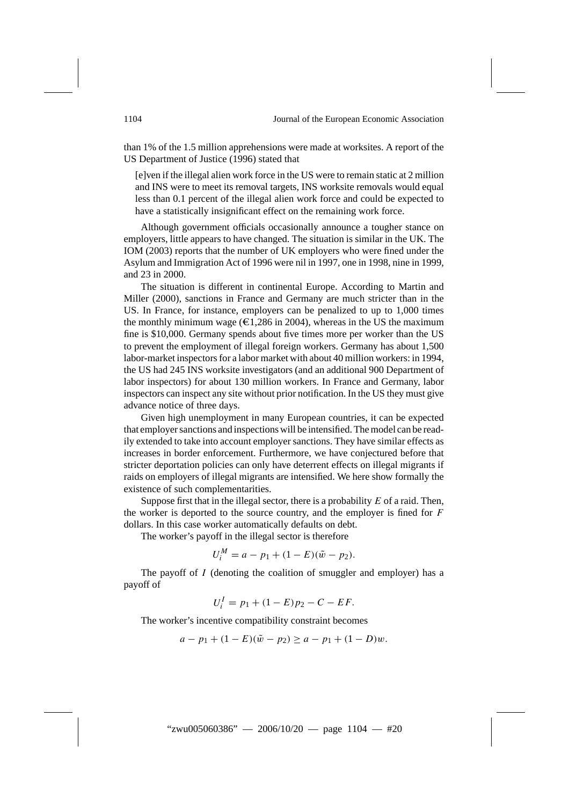than 1% of the 1.5 million apprehensions were made at worksites. A report of the US Department of Justice (1996) stated that

[e]ven if the illegal alien work force in the US were to remain static at 2 million and INS were to meet its removal targets, INS worksite removals would equal less than 0.1 percent of the illegal alien work force and could be expected to have a statistically insignificant effect on the remaining work force.

Although government officials occasionally announce a tougher stance on employers, little appears to have changed. The situation is similar in the UK. The IOM (2003) reports that the number of UK employers who were fined under the Asylum and Immigration Act of 1996 were nil in 1997, one in 1998, nine in 1999, and 23 in 2000.

The situation is different in continental Europe. According to Martin and Miller (2000), sanctions in France and Germany are much stricter than in the US. In France, for instance, employers can be penalized to up to 1,000 times the monthly minimum wage ( $\epsilon$ 1,286 in 2004), whereas in the US the maximum fine is \$10,000. Germany spends about five times more per worker than the US to prevent the employment of illegal foreign workers. Germany has about 1,500 labor-market inspectors for a labor market with about 40 million workers: in 1994, the US had 245 INS worksite investigators (and an additional 900 Department of labor inspectors) for about 130 million workers. In France and Germany, labor inspectors can inspect any site without prior notification. In the US they must give advance notice of three days.

Given high unemployment in many European countries, it can be expected that employer sanctions and inspections will be intensified. The model can be readily extended to take into account employer sanctions. They have similar effects as increases in border enforcement. Furthermore, we have conjectured before that stricter deportation policies can only have deterrent effects on illegal migrants if raids on employers of illegal migrants are intensified. We here show formally the existence of such complementarities.

Suppose first that in the illegal sector, there is a probability *E* of a raid. Then, the worker is deported to the source country, and the employer is fined for *F* dollars. In this case worker automatically defaults on debt.

The worker's payoff in the illegal sector is therefore

$$
U_i^M = a - p_1 + (1 - E)(\tilde{w} - p_2).
$$

The payoff of *I* (denoting the coalition of smuggler and employer) has a payoff of

$$
U_i^I = p_1 + (1 - E)p_2 - C - EF.
$$

The worker's incentive compatibility constraint becomes

$$
a - p_1 + (1 - E)(\tilde{w} - p_2) \ge a - p_1 + (1 - D)w.
$$

"zwu005060386" — 2006/10/20 — page  $1104 - 420$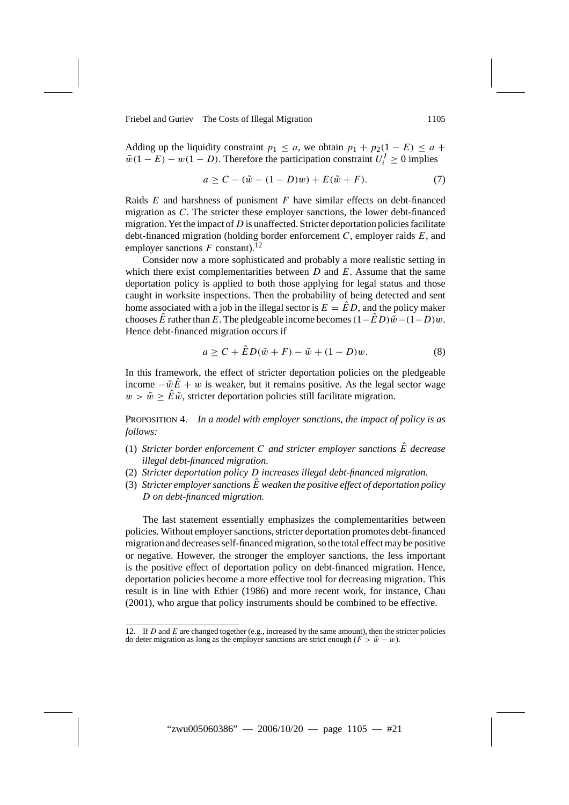Adding up the liquidity constraint  $p_1 \le a$ , we obtain  $p_1 + p_2(1 - E) \le a +$  $\tilde{w}(1 - E) - w(1 - D)$ . Therefore the participation constraint  $U_i^I \ge 0$  implies

$$
a \ge C - (\tilde{w} - (1 - D)w) + E(\tilde{w} + F). \tag{7}
$$

Raids *E* and harshness of punisment *F* have similar effects on debt-financed migration as *C*. The stricter these employer sanctions, the lower debt-financed migration. Yet the impact of *D* is unaffected. Stricter deportation policies facilitate debt-financed migration (holding border enforcement *C*, employer raids *E*, and employer sanctions  $F$  constant).<sup>12</sup>

Consider now a more sophisticated and probably a more realistic setting in which there exist complementarities between *D* and *E*. Assume that the same deportation policy is applied to both those applying for legal status and those caught in worksite inspections. Then the probability of being detected and sent home associated with a job in the illegal sector is  $E = \hat{E}D$ , and the policy maker chooses  $\hat{E}$  rather than  $E$ . The pledgeable income becomes  $(1-\hat{E}D)\tilde{w}-(1-D)w$ . Hence debt-financed migration occurs if

$$
a \ge C + \hat{E}D(\tilde{w} + F) - \tilde{w} + (1 - D)w.
$$
 (8)

In this framework, the effect of stricter deportation policies on the pledgeable income  $-\tilde{w}\tilde{E} + w$  is weaker, but it remains positive. As the legal sector wage  $w > \tilde{w} \geq \tilde{E}\tilde{w}$ , stricter deportation policies still facilitate migration.

Proposition 4. *In a model with employer sanctions, the impact of policy is as follows:*

- (1) *Stricter border enforcement C and stricter employer sanctions E*ˆ *decrease illegal debt-financed migration.*
- (2) *Stricter deportation policy D increases illegal debt-financed migration.*
- (3) *Stricter employer sanctions E*ˆ *weaken the positive effect of deportation policy D on debt-financed migration.*

The last statement essentially emphasizes the complementarities between policies. Without employer sanctions, stricter deportation promotes debt-financed migration and decreases self-financed migration, so the total effect may be positive or negative. However, the stronger the employer sanctions, the less important is the positive effect of deportation policy on debt-financed migration. Hence, deportation policies become a more effective tool for decreasing migration. This result is in line with Ethier (1986) and more recent work, for instance, Chau (2001), who argue that policy instruments should be combined to be effective.

<sup>12.</sup> If *D* and *E* are changed together (e.g., increased by the same amount), then the stricter policies do deter migration as long as the employer sanctions are strict enough ( $F > \tilde{w} - w$ ).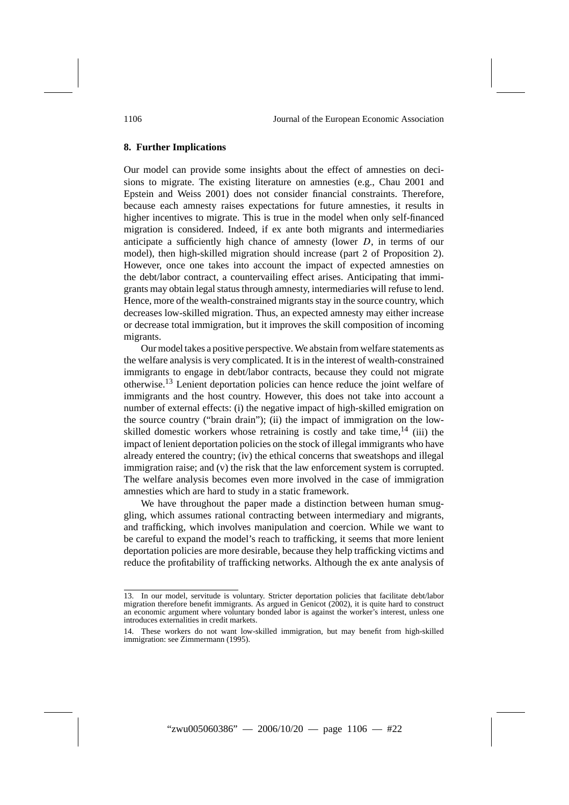#### **8. Further Implications**

Our model can provide some insights about the effect of amnesties on decisions to migrate. The existing literature on amnesties (e.g., Chau 2001 and Epstein and Weiss 2001) does not consider financial constraints. Therefore, because each amnesty raises expectations for future amnesties, it results in higher incentives to migrate. This is true in the model when only self-financed migration is considered. Indeed, if ex ante both migrants and intermediaries anticipate a sufficiently high chance of amnesty (lower *D*, in terms of our model), then high-skilled migration should increase (part 2 of Proposition 2). However, once one takes into account the impact of expected amnesties on the debt/labor contract, a countervailing effect arises. Anticipating that immigrants may obtain legal status through amnesty, intermediaries will refuse to lend. Hence, more of the wealth-constrained migrants stay in the source country, which decreases low-skilled migration. Thus, an expected amnesty may either increase or decrease total immigration, but it improves the skill composition of incoming migrants.

Our model takes a positive perspective. We abstain from welfare statements as the welfare analysis is very complicated. It is in the interest of wealth-constrained immigrants to engage in debt/labor contracts, because they could not migrate otherwise.<sup>13</sup> Lenient deportation policies can hence reduce the joint welfare of immigrants and the host country. However, this does not take into account a number of external effects: (i) the negative impact of high-skilled emigration on the source country ("brain drain"); (ii) the impact of immigration on the lowskilled domestic workers whose retraining is costly and take time,  $14$  (iii) the impact of lenient deportation policies on the stock of illegal immigrants who have already entered the country; (iv) the ethical concerns that sweatshops and illegal immigration raise; and (v) the risk that the law enforcement system is corrupted. The welfare analysis becomes even more involved in the case of immigration amnesties which are hard to study in a static framework.

We have throughout the paper made a distinction between human smuggling, which assumes rational contracting between intermediary and migrants, and trafficking, which involves manipulation and coercion. While we want to be careful to expand the model's reach to trafficking, it seems that more lenient deportation policies are more desirable, because they help trafficking victims and reduce the profitability of trafficking networks. Although the ex ante analysis of

<sup>13.</sup> In our model, servitude is voluntary. Stricter deportation policies that facilitate debt/labor migration therefore benefit immigrants. As argued in Genicot (2002), it is quite hard to construct an economic argument where voluntary bonded labor is against the worker's interest, unless one introduces externalities in credit markets.

<sup>14.</sup> These workers do not want low-skilled immigration, but may benefit from high-skilled immigration: see Zimmermann (1995).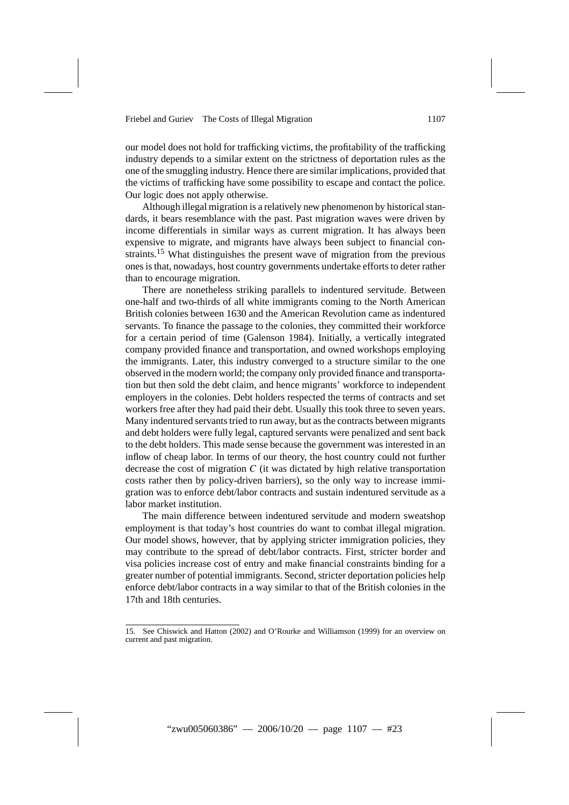our model does not hold for trafficking victims, the profitability of the trafficking industry depends to a similar extent on the strictness of deportation rules as the one of the smuggling industry. Hence there are similar implications, provided that the victims of trafficking have some possibility to escape and contact the police. Our logic does not apply otherwise.

Although illegal migration is a relatively new phenomenon by historical standards, it bears resemblance with the past. Past migration waves were driven by income differentials in similar ways as current migration. It has always been expensive to migrate, and migrants have always been subject to financial constraints.<sup>15</sup> What distinguishes the present wave of migration from the previous ones is that, nowadays, host country governments undertake efforts to deter rather than to encourage migration.

There are nonetheless striking parallels to indentured servitude. Between one-half and two-thirds of all white immigrants coming to the North American British colonies between 1630 and the American Revolution came as indentured servants. To finance the passage to the colonies, they committed their workforce for a certain period of time (Galenson 1984). Initially, a vertically integrated company provided finance and transportation, and owned workshops employing the immigrants. Later, this industry converged to a structure similar to the one observed in the modern world; the company only provided finance and transportation but then sold the debt claim, and hence migrants' workforce to independent employers in the colonies. Debt holders respected the terms of contracts and set workers free after they had paid their debt. Usually this took three to seven years. Many indentured servants tried to run away, but as the contracts between migrants and debt holders were fully legal, captured servants were penalized and sent back to the debt holders. This made sense because the government was interested in an inflow of cheap labor. In terms of our theory, the host country could not further decrease the cost of migration *C* (it was dictated by high relative transportation costs rather then by policy-driven barriers), so the only way to increase immigration was to enforce debt/labor contracts and sustain indentured servitude as a labor market institution.

The main difference between indentured servitude and modern sweatshop employment is that today's host countries do want to combat illegal migration. Our model shows, however, that by applying stricter immigration policies, they may contribute to the spread of debt/labor contracts. First, stricter border and visa policies increase cost of entry and make financial constraints binding for a greater number of potential immigrants. Second, stricter deportation policies help enforce debt/labor contracts in a way similar to that of the British colonies in the 17th and 18th centuries.

"zwu005060386" — 2006/10/20 — page  $1107 - 423$ 

<sup>15.</sup> See Chiswick and Hatton (2002) and O'Rourke and Williamson (1999) for an overview on current and past migration.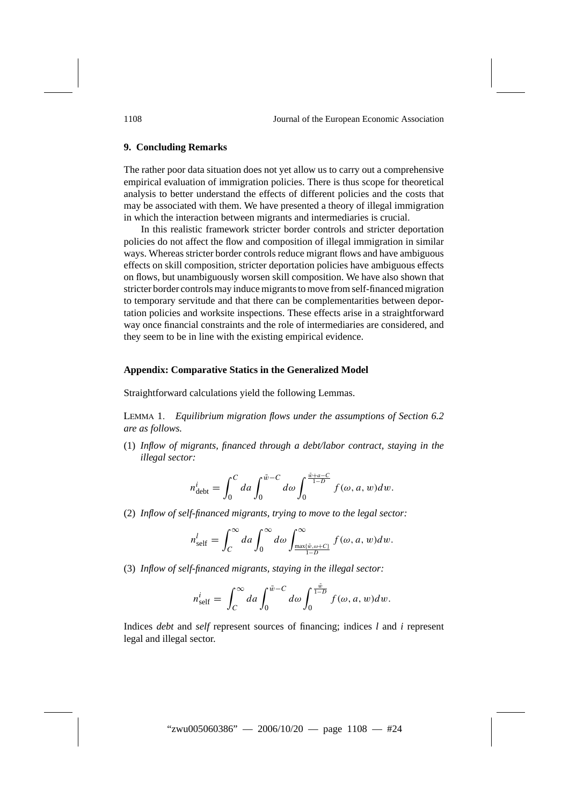#### **9. Concluding Remarks**

The rather poor data situation does not yet allow us to carry out a comprehensive empirical evaluation of immigration policies. There is thus scope for theoretical analysis to better understand the effects of different policies and the costs that may be associated with them. We have presented a theory of illegal immigration in which the interaction between migrants and intermediaries is crucial.

In this realistic framework stricter border controls and stricter deportation policies do not affect the flow and composition of illegal immigration in similar ways. Whereas stricter border controls reduce migrant flows and have ambiguous effects on skill composition, stricter deportation policies have ambiguous effects on flows, but unambiguously worsen skill composition. We have also shown that stricter border controls may induce migrants to move from self-financed migration to temporary servitude and that there can be complementarities between deportation policies and worksite inspections. These effects arise in a straightforward way once financial constraints and the role of intermediaries are considered, and they seem to be in line with the existing empirical evidence.

### **Appendix: Comparative Statics in the Generalized Model**

Straightforward calculations yield the following Lemmas.

Lemma 1. *Equilibrium migration flows under the assumptions of Section 6.2 are as follows.*

(1) *Inflow of migrants, financed through a debt/labor contract, staying in the illegal sector:*

$$
n_{\text{debt}}^i = \int_0^C da \int_0^{\tilde{w}-C} d\omega \int_0^{\frac{\tilde{w}+a-C}{1-D}} f(\omega, a, w) dw.
$$

(2) *Inflow of self-financed migrants, trying to move to the legal sector:*

$$
n_{\text{self}}^l = \int_C^{\infty} da \int_0^{\infty} d\omega \int_{\frac{\max\{\tilde{w}, \omega + C\}}{\frac{1}{1 - D}} f(\omega, a, w) dw.
$$

(3) *Inflow of self-financed migrants, staying in the illegal sector:*

$$
n_{\text{self}}^i = \int_C^{\infty} da \int_0^{\tilde{w}-C} d\omega \int_0^{\frac{\tilde{w}}{1-D}} f(\omega, a, w) dw.
$$

Indices *debt* and *self* represent sources of financing; indices *l* and *i* represent legal and illegal sector.

"zwu005060386" — 2006/10/20 — page  $1108 - #24$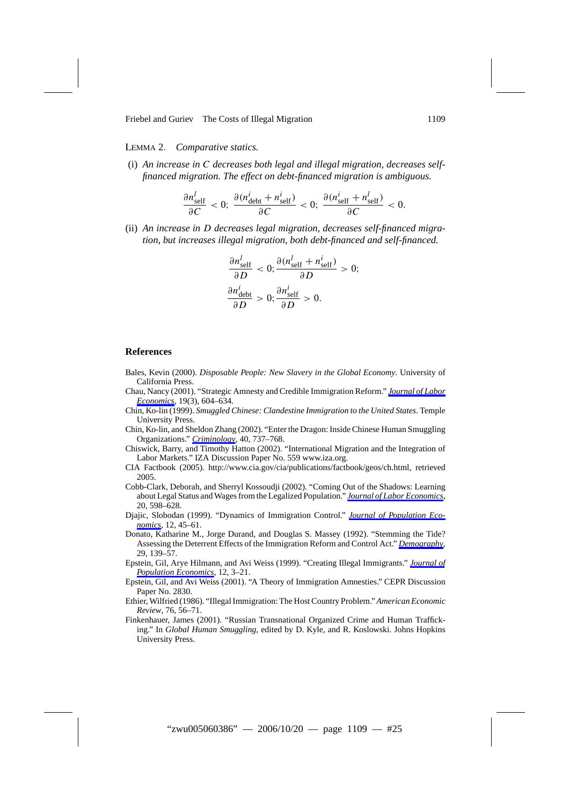#### Lemma 2. *Comparative statics.*

(i) *An increase in C decreases both legal and illegal migration, decreases selffinanced migration. The effect on debt-financed migration is ambiguous.*

$$
\frac{\partial n_{\text{self}}^l}{\partial C} < 0; \ \frac{\partial (n_{\text{debt}}^i + n_{\text{self}}^i)}{\partial C} < 0; \ \frac{\partial (n_{\text{self}}^i + n_{\text{self}}^l)}{\partial C} < 0.
$$

(ii) *An increase in D decreases legal migration, decreases self-financed migration, but increases illegal migration, both debt-financed and self-financed.*

$$
\frac{\partial n_{\text{self}}^l}{\partial D} < 0; \frac{\partial (n_{\text{self}}^l + n_{\text{self}}^i)}{\partial D} > 0; \\
\frac{\partial n_{\text{debt}}^i}{\partial D} > 0; \frac{\partial n_{\text{self}}^i}{\partial D} > 0.
$$

#### **References**

- Bales, Kevin (2000). *Disposable People: New Slavery in the Global Economy*. University of California Press.
- Chau, Nancy (2001). "Strategic Amnesty and Credible Immigration Reform." *Journal of Labor Economics*, 19(3), 604–634.
- Chin, Ko-lin (1999). *Smuggled Chinese: Clandestine Immigration to the United States*. Temple University Press.
- Chin, Ko-lin, and Sheldon Zhang (2002). "Enter the Dragon: Inside Chinese Human Smuggling Organizations." *Criminology*, 40, 737–768.
- Chiswick, Barry, and Timothy Hatton (2002). "International Migration and the Integration of Labor Markets." IZA Discussion Paper No. 559 www.iza.org.
- CIA Factbook (2005). http://www.cia.gov/cia/publications/factbook/geos/ch.html, retrieved 2005.
- Cobb-Clark, Deborah, and Sherryl Kossoudji (2002). "Coming Out of the Shadows: Learning about Legal Status and Wages from the Legalized Population." *Journal of Labor Economics*, 20, 598–628.
- Djajic, Slobodan (1999). "Dynamics of Immigration Control." *Journal of Population Economics*, 12, 45–61.
- Donato, Katharine M., Jorge Durand, and Douglas S. Massey (1992). "Stemming the Tide? Assessing the Deterrent Effects of the Immigration Reform and Control Act." *Demography*, 29, 139–57.
- Epstein, Gil, Arye Hilmann, and Avi Weiss (1999). "Creating Illegal Immigrants." *Journal of Population Economics*, 12, 3–21.
- Epstein, Gil, and Avi Weiss (2001). "A Theory of Immigration Amnesties." CEPR Discussion Paper No. 2830.
- Ethier, Wilfried (1986). "Illegal Immigration: The Host Country Problem."*American Economic Review*, 76, 56–71.
- Finkenhauer, James (2001). "Russian Transnational Organized Crime and Human Trafficking." In *Global Human Smuggling*, edited by D. Kyle, and R. Koslowski. Johns Hopkins University Press.

"zwu005060386" — 2006/10/20 — page  $1109 - 2425$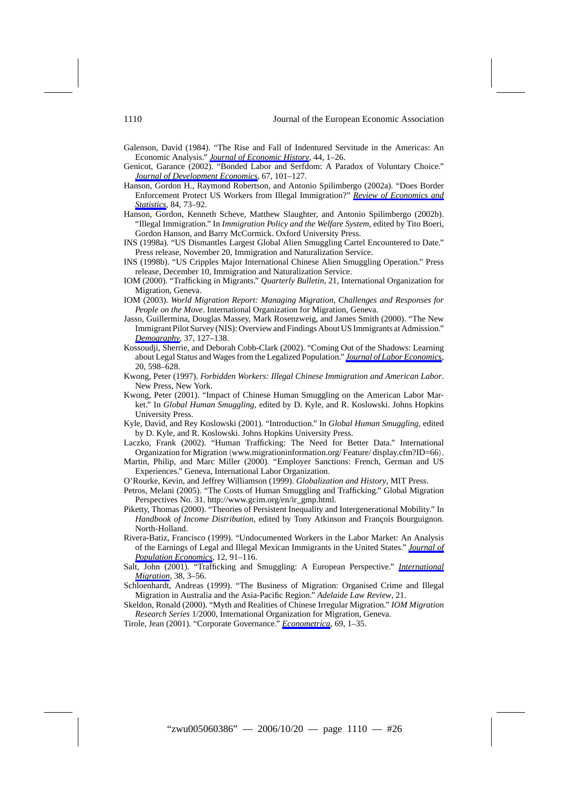- Galenson, David (1984). "The Rise and Fall of Indentured Servitude in the Americas: An Economic Analysis." *Journal of Economic History*, 44, 1–26.
- Genicot, Garance (2002). "Bonded Labor and Serfdom: A Paradox of Voluntary Choice." *Journal of Development Economics*, 67, 101–127.
- Hanson, Gordon H., Raymond Robertson, and Antonio Spilimbergo (2002a). "Does Border Enforcement Protect US Workers from Illegal Immigration?" *Review of Economics and Statistics*, 84, 73–92.
- Hanson, Gordon, Kenneth Scheve, Matthew Slaughter, and Antonio Spilimbergo (2002b). "Illegal Immigration." In *Immigration Policy and the Welfare System*, edited by Tito Boeri, Gordon Hanson, and Barry McCormick. Oxford University Press.
- INS (1998a). "US Dismantles Largest Global Alien Smuggling Cartel Encountered to Date." Press release, November 20, Immigration and Naturalization Service.
- INS (1998b). "US Cripples Major International Chinese Alien Smuggling Operation." Press release, December 10, Immigration and Naturalization Service.
- IOM (2000). "Trafficking in Migrants." *Quarterly Bulletin*, 21, International Organization for Migration, Geneva.
- IOM (2003). *World Migration Report: Managing Migration, Challenges and Responses for People on the Move*. International Organization for Migration, Geneva.
- Jasso, Guillermina, Douglas Massey, Mark Rosenzweig, and James Smith (2000). "The New Immigrant Pilot Survey (NIS): Overview and Findings About US Immigrants at Admission." *Demography*, 37, 127–138.
- Kossoudji, Sherrie, and Deborah Cobb-Clark (2002). "Coming Out of the Shadows: Learning about Legal Status and Wages from the Legalized Population." *Journal of Labor Economics*, 20, 598–628.
- Kwong, Peter (1997). *Forbidden Workers: Illegal Chinese Immigration and American Labor*. New Press, New York.
- Kwong, Peter (2001). "Impact of Chinese Human Smuggling on the American Labor Market." In *Global Human Smuggling*, edited by D. Kyle, and R. Koslowski. Johns Hopkins University Press.
- Kyle, David, and Rey Koslowski (2001). "Introduction." In *Global Human Smuggling*, edited by D. Kyle, and R. Koslowski. Johns Hopkins University Press.
- Laczko, Frank (2002). "Human Trafficking: The Need for Better Data." International Organization for Migration (www.migrationinformation.org/ Feature/ display.cfm?ID=66).
- Martin, Philip, and Marc Miller (2000). "Employer Sanctions: French, German and US Experiences." Geneva, International Labor Organization.
- O'Rourke, Kevin, and Jeffrey Williamson (1999). *Globalization and History*, MIT Press.
- Petros, Melani (2005). "The Costs of Human Smuggling and Trafficking." Global Migration Perspectives No. 31. http://www.gcim.org/en/ir\_gmp.html.
- Piketty, Thomas (2000). "Theories of Persistent Inequality and Intergenerational Mobility." In *Handbook of Income Distribution*, edited by Tony Atkinson and François Bourguignon. North-Holland.
- Rivera-Batiz, Francisco (1999). "Undocumented Workers in the Labor Market: An Analysis of the Earnings of Legal and Illegal Mexican Immigrants in the United States." *Journal of Population Economics*, 12, 91–116.
- Salt, John (2001). "Trafficking and Smuggling: A European Perspective." *International Migration*, 38, 3–56.
- Schloenhardt, Andreas (1999). "The Business of Migration: Organised Crime and Illegal Migration in Australia and the Asia-Pacific Region." *Adelaide Law Review*, 21.
- Skeldon, Ronald (2000). "Myth and Realities of Chinese Irregular Migration." *IOM Migration Research Series* 1/2000, International Organization for Migration, Geneva.
- Tirole, Jean (2001). "Corporate Governance." *Econometrica*, 69, 1–35.